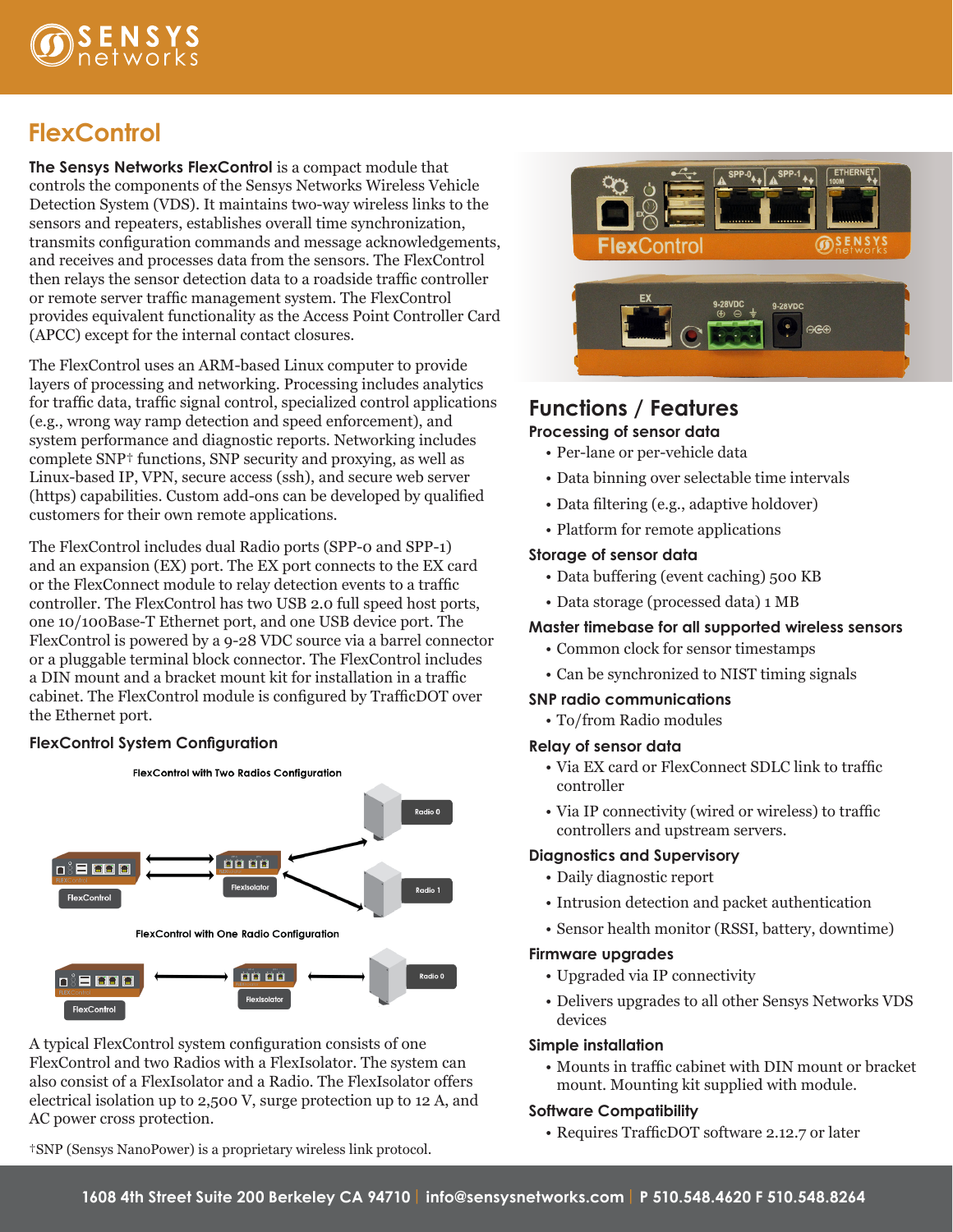

# **FlexControl**

**The Sensys Networks FlexControl** is a compact module that controls the components of the Sensys Networks Wireless Vehicle Detection System (VDS). It maintains two-way wireless links to the sensors and repeaters, establishes overall time synchronization, transmits configuration commands and message acknowledgements, and receives and processes data from the sensors. The FlexControl then relays the sensor detection data to a roadside traffic controller or remote server traffic management system. The FlexControl provides equivalent functionality as the Access Point Controller Card (APCC) except for the internal contact closures.

The FlexControl uses an ARM-based Linux computer to provide layers of processing and networking. Processing includes analytics for traffic data, traffic signal control, specialized control applications (e.g., wrong way ramp detection and speed enforcement), and system performance and diagnostic reports. Networking includes complete SNP† functions, SNP security and proxying, as well as Linux-based IP, VPN, secure access (ssh), and secure web server (https) capabilities. Custom add-ons can be developed by qualified customers for their own remote applications.

The FlexControl includes dual Radio ports (SPP-0 and SPP-1) and an expansion (EX) port. The EX port connects to the EX card or the FlexConnect module to relay detection events to a traffic controller. The FlexControl has two USB 2.0 full speed host ports, one 10/100Base-T Ethernet port, and one USB device port. The FlexControl is powered by a 9-28 VDC source via a barrel connector or a pluggable terminal block connector. The FlexControl includes a DIN mount and a bracket mount kit for installation in a traffic cabinet. The FlexControl module is configured by TrafficDOT over the Ethernet port.

#### **FlexControl System Configuration**



A typical FlexControl system configuration consists of one FlexControl and two Radios with a FlexIsolator. The system can also consist of a FlexIsolator and a Radio. The FlexIsolator offers electrical isolation up to 2,500 V, surge protection up to 12 A, and AC power cross protection.

†SNP (Sensys NanoPower) is a proprietary wireless link protocol.



### **Functions / Features Processing of sensor data**

- Per-lane or per-vehicle data
- Data binning over selectable time intervals
- Data filtering (e.g., adaptive holdover)
- Platform for remote applications

#### **Storage of sensor data**

- Data buffering (event caching) 500 KB
- Data storage (processed data) 1 MB

#### **Master timebase for all supported wireless sensors**

- Common clock for sensor timestamps
- Can be synchronized to NIST timing signals

#### **SNP radio communications**

• To/from Radio modules

#### **Relay of sensor data**

- Via EX card or FlexConnect SDLC link to traffic controller
- Via IP connectivity (wired or wireless) to traffic controllers and upstream servers.

#### **Diagnostics and Supervisory**

- Daily diagnostic report
- Intrusion detection and packet authentication
- Sensor health monitor (RSSI, battery, downtime)

#### **Firmware upgrades**

- Upgraded via IP connectivity
- Delivers upgrades to all other Sensys Networks VDS devices

#### **Simple installation**

• Mounts in traffic cabinet with DIN mount or bracket mount. Mounting kit supplied with module.

#### **Software Compatibility**

• Requires TrafficDOT software 2.12.7 or later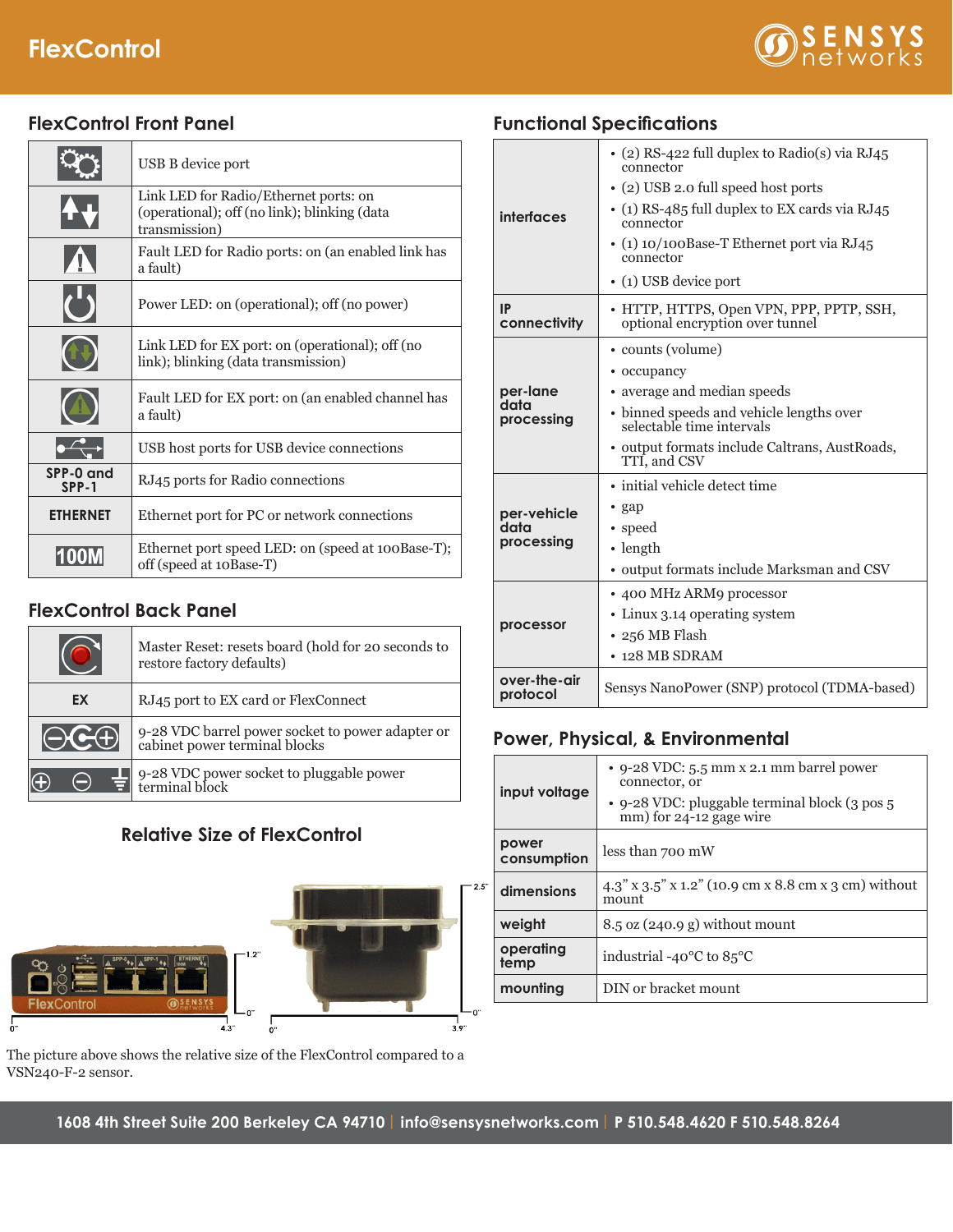# **FlexControl**



## **FlexControl Front Panel**

|                    | USB B device port                                                                                      |
|--------------------|--------------------------------------------------------------------------------------------------------|
|                    | Link LED for Radio/Ethernet ports: on<br>(operational); off (no link); blinking (data<br>transmission) |
|                    | Fault LED for Radio ports: on (an enabled link has<br>a fault)                                         |
|                    | Power LED: on (operational); off (no power)                                                            |
|                    | Link LED for EX port: on (operational); off (no<br>link); blinking (data transmission)                 |
|                    | Fault LED for EX port: on (an enabled channel has<br>a fault)                                          |
|                    | USB host ports for USB device connections                                                              |
| SPP-0 and<br>SPP-1 | RJ45 ports for Radio connections                                                                       |
| <b>ETHERNET</b>    | Ethernet port for PC or network connections                                                            |
|                    | Ethernet port speed LED: on (speed at 100Base-T);<br>off (speed at 10Base-T)                           |

## **FlexControl Back Panel**

|              | Master Reset: resets board (hold for 20 seconds to<br>restore factory defaults)   |
|--------------|-----------------------------------------------------------------------------------|
| EX           | RJ45 port to EX card or FlexConnect                                               |
| $\bigcap$ CA | 9-28 VDC barrel power socket to power adapter or<br>cabinet power terminal blocks |
|              | 9-28 VDC power socket to pluggable power<br>terminal block                        |

## **Relative Size of FlexControl**



The picture above shows the relative size of the FlexControl compared to a VSN240-F-2 sensor.

| interfaces               | • (2) RS-422 full duplex to Radio(s) via RJ45<br>connector                  |
|--------------------------|-----------------------------------------------------------------------------|
|                          | • (2) USB 2.0 full speed host ports                                         |
|                          | $\cdot$ (1) RS-485 full duplex to EX cards via RJ45<br>connector            |
|                          | $\cdot$ (1) 10/100Base-T Ethernet port via RJ45<br>connector                |
|                          | • (1) USB device port                                                       |
| IP<br>connectivity       | • HTTP, HTTPS, Open VPN, PPP, PPTP, SSH,<br>optional encryption over tunnel |
|                          | • counts (volume)                                                           |
|                          | • occupancy                                                                 |
| per-lane                 | • average and median speeds                                                 |
| data<br>processing       | • binned speeds and vehicle lengths over<br>selectable time intervals       |
|                          | · output formats include Caltrans, AustRoads,<br>TTI, and CSV               |
|                          | • initial vehicle detect time                                               |
| per-vehicle              | $\cdot$ gap                                                                 |
| data<br>processing       | • speed                                                                     |
|                          | $\cdot$ length                                                              |
|                          | • output formats include Marksman and CSV                                   |
|                          | • 400 MHz ARM9 processor                                                    |
| processor                | • Linux 3.14 operating system                                               |
|                          | • 256 MB Flash                                                              |
|                          | $\cdot$ 128 MB SDRAM                                                        |
| over-the-air<br>protocol | Sensys NanoPower (SNP) protocol (TDMA-based)                                |

### **Power, Physical, & Environmental**

| input voltage        | • 9-28 VDC: 5.5 mm x 2.1 mm barrel power<br>connector, or<br>• 9-28 VDC: pluggable terminal block (3 pos 5)<br>mm) for 24-12 gage wire |
|----------------------|----------------------------------------------------------------------------------------------------------------------------------------|
| power<br>consumption | less than 700 mW                                                                                                                       |
| dimensions           | $4.3''$ x $3.5''$ x $1.2''$ (10.9 cm x 8.8 cm x 3 cm) without<br>mount                                                                 |
| weight               | $8.5 \text{ oz}$ (240.9 g) without mount                                                                                               |
| operating<br>temp    | industrial -40 $\rm{^{\circ}C}$ to 85 $\rm{^{\circ}C}$                                                                                 |
| mounting             | DIN or bracket mount                                                                                                                   |